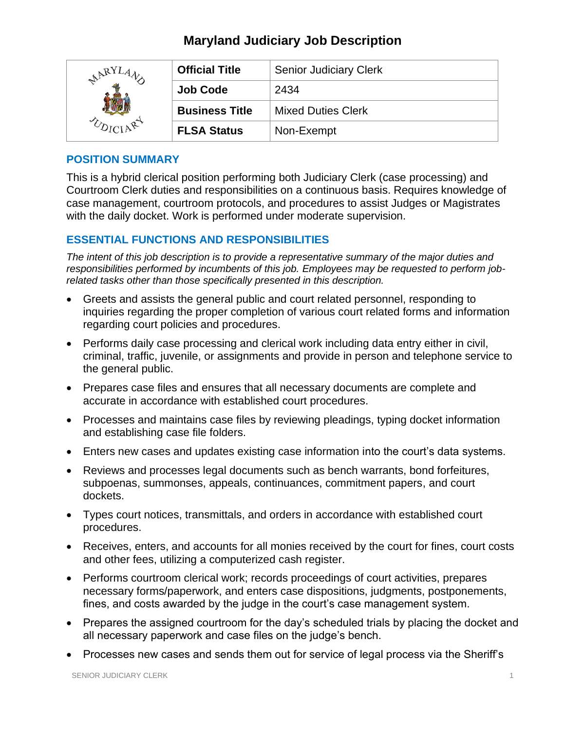# **Maryland Judiciary Job Description**

| LARY | <b>Official Title</b> | <b>Senior Judiciary Clerk</b> |
|------|-----------------------|-------------------------------|
|      | <b>Job Code</b>       | 2434                          |
|      | <b>Business Title</b> | <b>Mixed Duties Clerk</b>     |
|      | <b>FLSA Status</b>    | Non-Exempt                    |

## **POSITION SUMMARY**

This is a hybrid clerical position performing both Judiciary Clerk (case processing) and Courtroom Clerk duties and responsibilities on a continuous basis. Requires knowledge of case management, courtroom protocols, and procedures to assist Judges or Magistrates with the daily docket. Work is performed under moderate supervision.

# **ESSENTIAL FUNCTIONS AND RESPONSIBILITIES**

*The intent of this job description is to provide a representative summary of the major duties and responsibilities performed by incumbents of this job. Employees may be requested to perform jobrelated tasks other than those specifically presented in this description.*

- Greets and assists the general public and court related personnel, responding to inquiries regarding the proper completion of various court related forms and information regarding court policies and procedures.
- Performs daily case processing and clerical work including data entry either in civil, criminal, traffic, juvenile, or assignments and provide in person and telephone service to the general public.
- Prepares case files and ensures that all necessary documents are complete and accurate in accordance with established court procedures.
- Processes and maintains case files by reviewing pleadings, typing docket information and establishing case file folders.
- Enters new cases and updates existing case information into the court's data systems.
- Reviews and processes legal documents such as bench warrants, bond forfeitures, subpoenas, summonses, appeals, continuances, commitment papers, and court dockets.
- Types court notices, transmittals, and orders in accordance with established court procedures.
- Receives, enters, and accounts for all monies received by the court for fines, court costs and other fees, utilizing a computerized cash register.
- Performs courtroom clerical work; records proceedings of court activities, prepares necessary forms/paperwork, and enters case dispositions, judgments, postponements, fines, and costs awarded by the judge in the court's case management system.
- Prepares the assigned courtroom for the day's scheduled trials by placing the docket and all necessary paperwork and case files on the judge's bench.
- Processes new cases and sends them out for service of legal process via the Sheriff's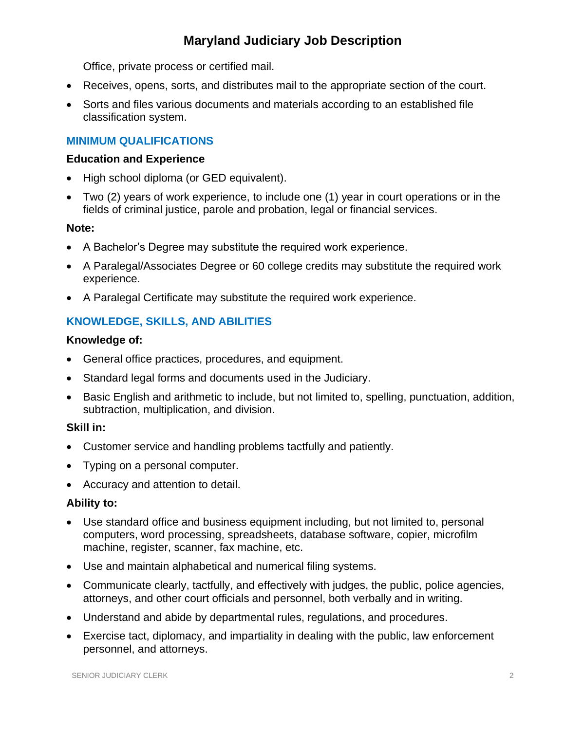# **Maryland Judiciary Job Description**

Office, private process or certified mail.

- Receives, opens, sorts, and distributes mail to the appropriate section of the court.
- Sorts and files various documents and materials according to an established file classification system.

# **MINIMUM QUALIFICATIONS**

### **Education and Experience**

- High school diploma (or GED equivalent).
- Two (2) years of work experience, to include one (1) year in court operations or in the fields of criminal justice, parole and probation, legal or financial services.

### **Note:**

- A Bachelor's Degree may substitute the required work experience.
- A Paralegal/Associates Degree or 60 college credits may substitute the required work experience.
- A Paralegal Certificate may substitute the required work experience.

# **KNOWLEDGE, SKILLS, AND ABILITIES**

## **Knowledge of:**

- General office practices, procedures, and equipment.
- Standard legal forms and documents used in the Judiciary.
- Basic English and arithmetic to include, but not limited to, spelling, punctuation, addition, subtraction, multiplication, and division.

# **Skill in:**

- Customer service and handling problems tactfully and patiently.
- Typing on a personal computer.
- Accuracy and attention to detail.

### **Ability to:**

- Use standard office and business equipment including, but not limited to, personal computers, word processing, spreadsheets, database software, copier, microfilm machine, register, scanner, fax machine, etc.
- Use and maintain alphabetical and numerical filing systems.
- Communicate clearly, tactfully, and effectively with judges, the public, police agencies, attorneys, and other court officials and personnel, both verbally and in writing.
- Understand and abide by departmental rules, regulations, and procedures.
- Exercise tact, diplomacy, and impartiality in dealing with the public, law enforcement personnel, and attorneys.